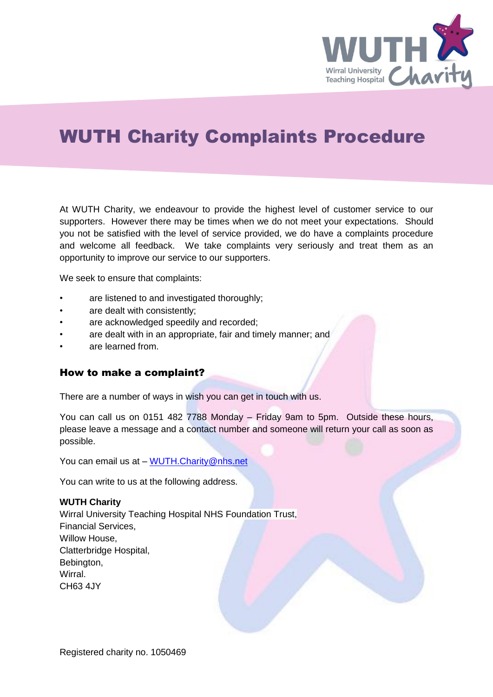

## WUTH Charity Complaints Procedure

At WUTH Charity, we endeavour to provide the highest level of customer service to our supporters. However there may be times when we do not meet your expectations. Should you not be satisfied with the level of service provided, we do have a complaints procedure and welcome all feedback. We take complaints very seriously and treat them as an opportunity to improve our service to our supporters.

We seek to ensure that complaints:

- are listened to and investigated thoroughly;
- are dealt with consistently;
- are acknowledged speedily and recorded;
- are dealt with in an appropriate, fair and timely manner; and
- are learned from.

### How to make a complaint?

There are a number of ways in wish you can get in touch with us.

You can call us on 0151 482 7788 Monday – Friday 9am to 5pm. Outside these hours, please leave a message and a contact number and someone will return your call as soon as possible.

You can email us at - WUTH. Charity@nhs.net

You can write to us at the following address.

#### **WUTH Charity**

Wirral University Teaching Hospital NHS Foundation Trust, Financial Services, Willow House, Clatterbridge Hospital, Bebington, Wirral. CH63 4JY